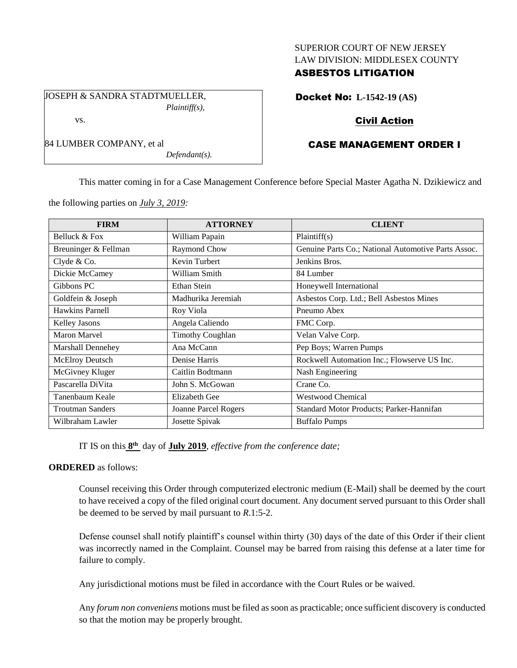## SUPERIOR COURT OF NEW JERSEY LAW DIVISION: MIDDLESEX COUNTY

## ASBESTOS LITIGATION

JOSEPH & SANDRA STADTMUELLER, *Plaintiff(s),* vs.

*Defendant(s).*

# Docket No: **L-1542-19 (AS)**

# Civil Action

# CASE MANAGEMENT ORDER I

This matter coming in for a Case Management Conference before Special Master Agatha N. Dzikiewicz and

the following parties on *July 3, 2019:*

84 LUMBER COMPANY, et al

| <b>FIRM</b>             | <b>ATTORNEY</b>             | <b>CLIENT</b>                                       |
|-------------------------|-----------------------------|-----------------------------------------------------|
| Belluck & Fox           | William Papain              | Plaintiff(s)                                        |
| Breuninger & Fellman    | Raymond Chow                | Genuine Parts Co.; National Automotive Parts Assoc. |
| Clyde & Co.             | Kevin Turbert               | Jenkins Bros.                                       |
| Dickie McCamey          | William Smith               | 84 Lumber                                           |
| Gibbons PC              | Ethan Stein                 | Honeywell International                             |
| Goldfein & Joseph       | Madhurika Jeremiah          | Asbestos Corp. Ltd.; Bell Asbestos Mines            |
| Hawkins Parnell         | Roy Viola                   | Pneumo Abex                                         |
| <b>Kelley Jasons</b>    | Angela Caliendo             | FMC Corp.                                           |
| <b>Maron Marvel</b>     | <b>Timothy Coughlan</b>     | Velan Valve Corp.                                   |
| Marshall Dennehey       | Ana McCann                  | Pep Boys; Warren Pumps                              |
| McElroy Deutsch         | Denise Harris               | Rockwell Automation Inc.; Flowserve US Inc.         |
| McGivney Kluger         | Caitlin Bodtmann            | Nash Engineering                                    |
| Pascarella DiVita       | John S. McGowan             | Crane Co.                                           |
| Tanenbaum Keale         | Elizabeth Gee               | <b>Westwood Chemical</b>                            |
| <b>Troutman Sanders</b> | <b>Joanne Parcel Rogers</b> | Standard Motor Products; Parker-Hannifan            |
| Wilbraham Lawler        | Josette Spivak              | <b>Buffalo Pumps</b>                                |

IT IS on this **8 th** day of **July 2019**, *effective from the conference date;*

#### **ORDERED** as follows:

Counsel receiving this Order through computerized electronic medium (E-Mail) shall be deemed by the court to have received a copy of the filed original court document. Any document served pursuant to this Order shall be deemed to be served by mail pursuant to *R*.1:5-2.

Defense counsel shall notify plaintiff's counsel within thirty (30) days of the date of this Order if their client was incorrectly named in the Complaint. Counsel may be barred from raising this defense at a later time for failure to comply.

Any jurisdictional motions must be filed in accordance with the Court Rules or be waived.

Any *forum non conveniens* motions must be filed as soon as practicable; once sufficient discovery is conducted so that the motion may be properly brought.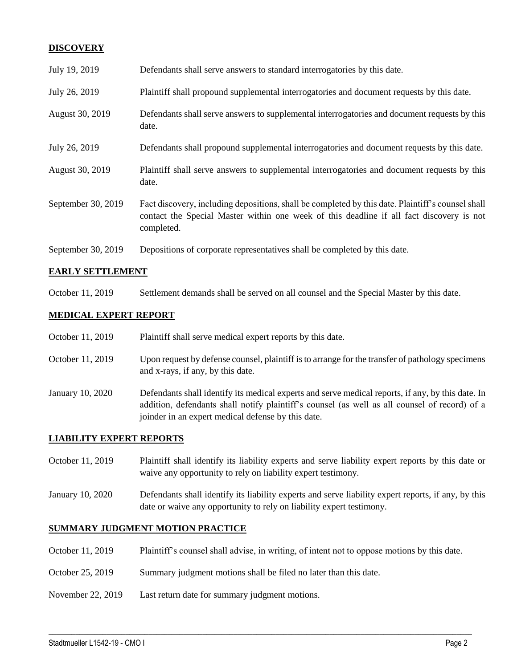## **DISCOVERY**

| July 19, 2019      | Defendants shall serve answers to standard interrogatories by this date.                                                                                                                                    |
|--------------------|-------------------------------------------------------------------------------------------------------------------------------------------------------------------------------------------------------------|
| July 26, 2019      | Plaintiff shall propound supplemental interrogatories and document requests by this date.                                                                                                                   |
| August 30, 2019    | Defendants shall serve answers to supplemental interrogatories and document requests by this<br>date.                                                                                                       |
| July 26, 2019      | Defendants shall propound supplemental interrogatories and document requests by this date.                                                                                                                  |
| August 30, 2019    | Plaintiff shall serve answers to supplemental interrogatories and document requests by this<br>date.                                                                                                        |
| September 30, 2019 | Fact discovery, including depositions, shall be completed by this date. Plaintiff's counsel shall<br>contact the Special Master within one week of this deadline if all fact discovery is not<br>completed. |
| September 30, 2019 | Depositions of corporate representatives shall be completed by this date.                                                                                                                                   |

## **EARLY SETTLEMENT**

October 11, 2019 Settlement demands shall be served on all counsel and the Special Master by this date.

## **MEDICAL EXPERT REPORT**

| October 11, 2019 | Plaintiff shall serve medical expert reports by this date.                                                                                                                                                                                               |
|------------------|----------------------------------------------------------------------------------------------------------------------------------------------------------------------------------------------------------------------------------------------------------|
| October 11, 2019 | Upon request by defense counsel, plaintiff is to arrange for the transfer of pathology specimens<br>and x-rays, if any, by this date.                                                                                                                    |
| January 10, 2020 | Defendants shall identify its medical experts and serve medical reports, if any, by this date. In<br>addition, defendants shall notify plaintiff's counsel (as well as all counsel of record) of a<br>joinder in an expert medical defense by this date. |

#### **LIABILITY EXPERT REPORTS**

- October 11, 2019 Plaintiff shall identify its liability experts and serve liability expert reports by this date or waive any opportunity to rely on liability expert testimony.
- January 10, 2020 Defendants shall identify its liability experts and serve liability expert reports, if any, by this date or waive any opportunity to rely on liability expert testimony.

## **SUMMARY JUDGMENT MOTION PRACTICE**

October 11, 2019 Plaintiff's counsel shall advise, in writing, of intent not to oppose motions by this date.

 $\_$  , and the set of the set of the set of the set of the set of the set of the set of the set of the set of the set of the set of the set of the set of the set of the set of the set of the set of the set of the set of th

- October 25, 2019 Summary judgment motions shall be filed no later than this date.
- November 22, 2019 Last return date for summary judgment motions.